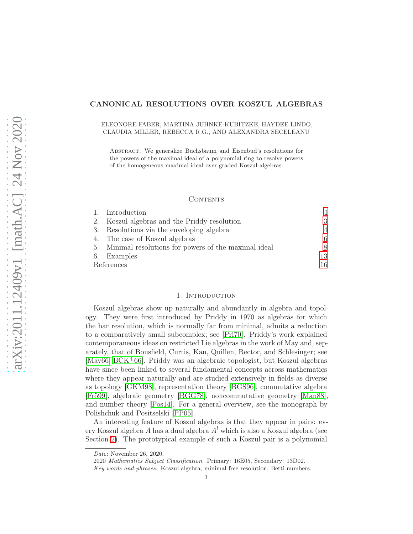# CANONICAL RESOLUTIONS OVER KOSZUL ALGEBRAS

## ELEONORE FABER, MARTINA JUHNKE-KUBITZKE, HAYDEE LINDO, CLAUDIA MILLER, REBECCA R.G., AND ALEXANDRA SECELEANU

Abstract. We generalize Buchsbaum and Eisenbud's resolutions for the powers of the maximal ideal of a polynomial ring to resolve powers of the homogeneous maximal ideal over graded Koszul algebras.

## **CONTENTS**

|            | 1. Introduction                                        |    |
|------------|--------------------------------------------------------|----|
|            | 2. Koszul algebras and the Priddy resolution           | 3  |
|            | 3. Resolutions via the enveloping algebra              | 4  |
|            | 4. The case of Koszul algebras                         | 6. |
|            | 5. Minimal resolutions for powers of the maximal ideal |    |
|            | 6. Examples                                            | 13 |
| References |                                                        | 16 |

#### 1. Introduction

<span id="page-0-0"></span>Koszul algebras show up naturally and abundantly in algebra and topology. They were first introduced by Priddy in 1970 as algebras for which the bar resolution, which is normally far from minimal, admits a reduction to a comparatively small subcomplex; see [\[Pri70\]](#page-16-0). Priddy's work explained contemporaneous ideas on restricted Lie algebras in the work of May and, separately, that of Bousfield, Curtis, Kan, Quillen, Rector, and Schlesinger; see [\[May66,](#page-16-1) [BCK](#page-15-1)+66]. Priddy was an algebraic topologist, but Koszul algebras have since been linked to several fundamental concepts across mathematics where they appear naturally and are studied extensively in fields as diverse as topology [\[GKM98\]](#page-16-2), representation theory [\[BGS96\]](#page-16-3), commutative algebra [\[Frö99\]](#page-16-4), algebraic geometry [\[BGG78\]](#page-16-5), noncommutative geometry [\[Man88\]](#page-16-6), and number theory [\[Pos14\]](#page-16-7). For a general overview, see the monograph by Polishchuk and Positselski [\[PP05\]](#page-16-8).

An interesting feature of Koszul algebras is that they appear in pairs: every Koszul algebra A has a dual algebra  $A<sup>!</sup>$  which is also a Koszul algebra (see Section [2\)](#page-2-0). The prototypical example of such a Koszul pair is a polynomial

Date: November 26, 2020.

<sup>2020</sup> Mathematics Subject Classification. Primary: 16E05, Secondary: 13D02.

Key words and phrases. Koszul algebra, minimal free resolution, Betti numbers.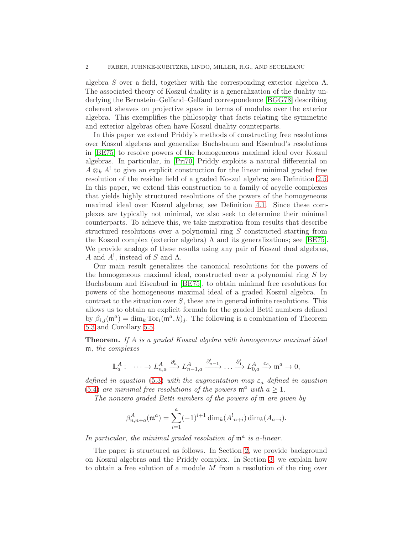algebra S over a field, together with the corresponding exterior algebra  $\Lambda$ . The associated theory of Koszul duality is a generalization of the duality underlying the Bernstein–Gelfand–Gelfand correspondence [\[BGG78\]](#page-16-5) describing coherent sheaves on projective space in terms of modules over the exterior algebra. This exemplifies the philosophy that facts relating the symmetric and exterior algebras often have Koszul duality counterparts.

In this paper we extend Priddy's methods of constructing free resolutions over Koszul algebras and generalize Buchsbaum and Eisenbud's resolutions in [\[BE75\]](#page-16-9) to resolve powers of the homogeneous maximal ideal over Koszul algebras. In particular, in [\[Pri70\]](#page-16-0) Priddy exploits a natural differential on  $A \otimes_k A^!$  to give an explicit construction for the linear minimal graded free resolution of the residue field of a graded Koszul algebra; see Definition [2.5.](#page-3-1) In this paper, we extend this construction to a family of acyclic complexes that yields highly structured resolutions of the powers of the homogeneous maximal ideal over Koszul algebras; see Definition [4.1.](#page-5-1) Since these complexes are typically not minimal, we also seek to determine their minimal counterparts. To achieve this, we take inspiration from results that describe structured resolutions over a polynomial ring S constructed starting from the Koszul complex (exterior algebra)  $\Lambda$  and its generalizations; see [\[BE75\]](#page-16-9). We provide analogs of these results using any pair of Koszul dual algebras, A and  $A^!$ , instead of S and  $\Lambda$ .

Our main result generalizes the canonical resolutions for the powers of the homogeneous maximal ideal, constructed over a polynomial ring S by Buchsbaum and Eisenbud in [\[BE75\]](#page-16-9), to obtain minimal free resolutions for powers of the homogeneous maximal ideal of a graded Koszul algebra. In contrast to the situation over  $S$ , these are in general infinite resolutions. This allows us to obtain an explicit formula for the graded Betti numbers defined by  $\beta_{i,j}(\mathfrak{m}^a) = \dim_k \text{Tor}_i(\mathfrak{m}^a, k)_j$ . The following is a combination of Theorem [5.3](#page-9-0) and Corollary [5.5.](#page-11-0)

**Theorem.** If A is a graded Koszul algebra with homogeneous maximal ideal m, the complexes

$$
\mathbb{L}^A_a: \quad \cdots \to L^A_{n,a} \xrightarrow{\partial'_n} L^A_{n-1,a} \xrightarrow{\partial'_{n-1}} \cdots \xrightarrow{\partial'_1} L^A_{0,a} \xrightarrow{\varepsilon_a} \mathfrak{m}^a \to 0,
$$

defined in equation [\(5.3\)](#page-8-0) with the augmentation map  $\varepsilon_a$  defined in equation [\(5.4\)](#page-8-1) are minimal free resolutions of the powers  $\mathfrak{m}^a$  with  $a \geq 1$ .

The nonzero graded Betti numbers of the powers of m are given by

$$
\beta_{n,n+a}^A(\mathfrak{m}^a) = \sum_{i=1}^a (-1)^{i+1} \dim_k(A_{n+i}^!) \dim_k(A_{a-i}).
$$

In particular, the minimal graded resolution of  $\mathfrak{m}^a$  is a-linear.

The paper is structured as follows. In Section [2,](#page-2-0) we provide background on Koszul algebras and the Priddy complex. In Section [3,](#page-3-0) we explain how to obtain a free solution of a module M from a resolution of the ring over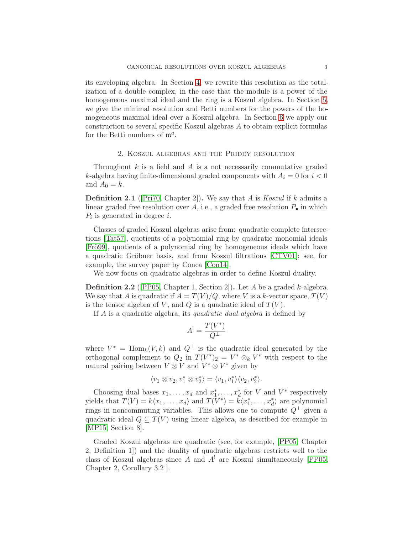its enveloping algebra. In Section [4,](#page-5-0) we rewrite this resolution as the totalization of a double complex, in the case that the module is a power of the homogeneous maximal ideal and the ring is a Koszul algebra. In Section [5,](#page-7-0) we give the minimal resolution and Betti numbers for the powers of the homogeneous maximal ideal over a Koszul algebra. In Section [6](#page-12-0) we apply our construction to several specific Koszul algebras A to obtain explicit formulas for the Betti numbers of  $\mathfrak{m}^a$ .

## 2. Koszul algebras and the Priddy resolution

<span id="page-2-0"></span>Throughout  $k$  is a field and  $A$  is a not necessarily commutative graded k-algebra having finite-dimensional graded components with  $A_i = 0$  for  $i < 0$ and  $A_0 = k$ .

**Definition 2.1** ( $[Pr70, Chapter 2]$ ). We say that A is *Koszul* if k admits a linear graded free resolution over A, i.e., a graded free resolution  $P_{\bullet}$  in which  $P_i$  is generated in degree *i*.

Classes of graded Koszul algebras arise from: quadratic complete intersections [\[Tat57\]](#page-16-10), quotients of a polynomial ring by quadratic monomial ideals [\[Frö99\]](#page-16-4), quotients of a polynomial ring by homogeneous ideals which have a quadratic Gröbner basis, and from Koszul filtrations [\[CTV01\]](#page-16-11); see, for example, the survey paper by Conca [\[Con14\]](#page-16-12).

We now focus on quadratic algebras in order to define Koszul duality.

**Definition 2.2** (PP05, Chapter 1, Section 2). Let A be a graded k-algebra. We say that A is quadratic if  $A = T(V)/Q$ , where V is a k-vector space,  $T(V)$ is the tensor algebra of V, and Q is a quadratic ideal of  $T(V)$ .

If A is a quadratic algebra, its *quadratic dual algebra* is defined by

$$
A^! = \frac{T(V^*)}{Q^\perp}
$$

where  $V^* = \text{Hom}_k(V, k)$  and  $Q^{\perp}$  is the quadratic ideal generated by the orthogonal complement to  $Q_2$  in  $T(V^*)_2 = V^* \otimes_k V^*$  with respect to the natural pairing between  $V \otimes V$  and  $V^* \otimes V^*$  given by

$$
\langle v_1 \otimes v_2, v_1^* \otimes v_2^* \rangle = \langle v_1, v_1^* \rangle \langle v_2, v_2^* \rangle.
$$

Choosing dual bases  $x_1, \ldots, x_d$  and  $x_1^*, \ldots, x_d^*$  for V and  $V^*$  respectively yields that  $T(V) = k\langle x_1, \ldots, x_d \rangle$  and  $T(V^*) = \tilde{k}\langle x_1^*, \ldots, x_d^* \rangle$  are polynomial rings in noncommuting variables. This allows one to compute  $Q^{\perp}$  given a quadratic ideal  $Q \subseteq T(V)$  using linear algebra, as described for example in [\[MP15,](#page-16-13) Section 8].

Graded Koszul algebras are quadratic (see, for example, [\[PP05,](#page-16-8) Chapter 2, Definition 1]) and the duality of quadratic algebras restricts well to the class of Koszul algebras since A and  $A^!$  are Koszul simultaneously [\[PP05,](#page-16-8) Chapter 2, Corollary 3.2 ].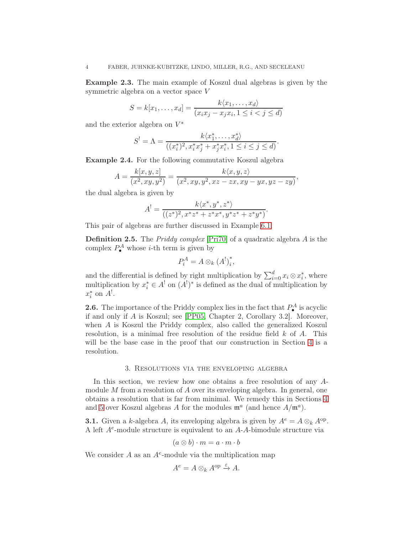Example 2.3. The main example of Koszul dual algebras is given by the symmetric algebra on a vector space V

$$
S = k[x_1, \dots, x_d] = \frac{k\langle x_1, \dots, x_d \rangle}{(x_ix_j - x_jx_i, 1 \le i < j \le d)}
$$

and the exterior algebra on  $V^*$ 

$$
S^{!} = \Lambda = \frac{k \langle x_1^*, \dots, x_d^* \rangle}{((x_i^*)^2, x_i^* x_j^* + x_j^* x_i^*, 1 \le i \le j \le d)}.
$$

<span id="page-3-3"></span>Example 2.4. For the following commutative Koszul algebra

$$
A = \frac{k[x, y, z]}{(x^2, xy, y^2)} = \frac{k\langle x, y, z\rangle}{(x^2, xy, y^2, xz - zx, xy - yx, yz - zy)},
$$

the dual algebra is given by

$$
A^{!} = \frac{k\langle x^*, y^*, z^*\rangle}{((z^*)^2, x^*z^* + z^*x^*, y^*z^* + z^*y^*)}.
$$

This pair of algebras are further discussed in Example [6.1.](#page-12-1)

<span id="page-3-1"></span>Definition 2.5. The Priddy complex [\[Pri70\]](#page-16-0) of a quadratic algebra A is the complex  $P_{\bullet}^{A}$  whose *i*-th term is given by

$$
P_i^A = A \otimes_k (A^!)_i^*,
$$

and the differential is defined by right multiplication by  $\sum_{i=0}^{d} x_i \otimes x_i^*$ , where multiplication by  $x_i^* \in A^!$  on  $(A^!)^*$  is defined as the dual of multiplication by  $x_i^*$  on  $A^!$ .

<span id="page-3-2"></span>**2.6.** The importance of the Priddy complex lies in the fact that  $P_{\bullet}^{A}$  is acyclic if and only if A is Koszul; see [\[PP05,](#page-16-8) Chapter 2, Corollary 3.2]. Moreover, when A is Koszul the Priddy complex, also called the generalized Koszul resolution, is a minimal free resolution of the residue field  $k$  of  $A$ . This will be the base case in the proof that our construction in Section [4](#page-5-0) is a resolution.

#### 3. Resolutions via the enveloping algebra

<span id="page-3-0"></span>In this section, we review how one obtains a free resolution of any Amodule M from a resolution of  $A$  over its enveloping algebra. In general, one obtains a resolution that is far from minimal. We remedy this in Sections [4](#page-5-0) and [5](#page-7-0) over Koszul algebras A for the modules  $\mathfrak{m}^a$  (and hence  $A/\mathfrak{m}^a$ ).

**3.1.** Given a k-algebra A, its enveloping algebra is given by  $A^e = A \otimes_k A^{op}$ . A left  $A<sup>e</sup>$ -module structure is equivalent to an A-A-bimodule structure via

$$
(a\otimes b)\cdot m=a\cdot m\cdot b
$$

We consider  $A$  as an  $A^e$ -module via the multiplication map

$$
A^e = A \otimes_k A^{\rm op} \xrightarrow{\varepsilon} A.
$$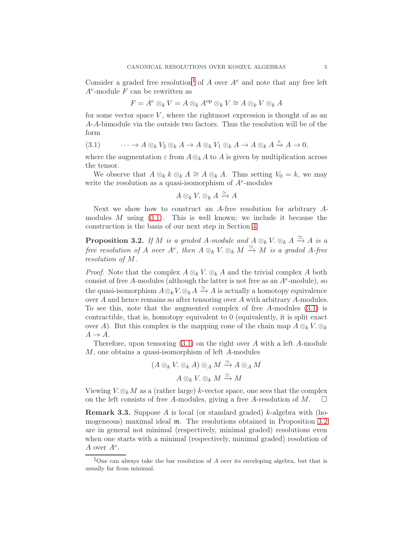Consider a graded free resolution<sup>[1](#page-4-0)</sup> of A over  $A^e$  and note that any free left  $A^e$ -module F can be rewritten as

$$
F = A^e \otimes_k V = A \otimes_k A^{op} \otimes_k V \cong A \otimes_k V \otimes_k A
$$

for some vector space  $V$ , where the rightmost expression is thought of as an A-A-bimodule via the outside two factors. Thus the resolution will be of the form

<span id="page-4-1"></span>
$$
(3.1) \qquad \cdots \to A \otimes_k V_2 \otimes_k A \to A \otimes_k V_1 \otimes_k A \to A \otimes_k A \xrightarrow{\varepsilon} A \to 0,
$$

where the augmentation  $\varepsilon$  from  $A \otimes_k A$  to A is given by multiplication across the tensor.

We observe that  $A \otimes_k k \otimes_k A \cong A \otimes_k A$ . Thus setting  $V_0 = k$ , we may write the resolution as a quasi-isomorphism of  $A<sup>e</sup>$ -modules

$$
A \otimes_k V \otimes_k A \xrightarrow{\simeq} A
$$

Next we show how to construct an A-free resolution for arbitrary Amodules M using  $(3.1)$ . This is well known; we include it because the construction is the basis of our next step in Section [4.](#page-5-0)

<span id="page-4-2"></span>**Proposition 3.2.** If M is a graded A-module and  $A \otimes_k V \otimes_k A \xrightarrow{\simeq} A$  is a free resolution of A over  $A^e$ , then  $A \otimes_k V \otimes_k M \stackrel{\simeq}{\to} M$  is a graded A-free resolution of M.

*Proof.* Note that the complex  $A \otimes_k V \otimes_k A$  and the trivial complex A both consist of free A-modules (although the latter is not free as an  $A^e$ -module), so the quasi-isomorphism  $A \otimes_k V \otimes_k A \xrightarrow{\simeq} A$  is actually a homotopy equivalence over A and hence remains so after tensoring over A with arbitrary A-modules. To see this, note that the augmented complex of free A-modules [\(3.1\)](#page-4-1) is contractible, that is, homotopy equivalent to 0 (equivalently, it is split exact over A). But this complex is the mapping cone of the chain map  $A \otimes_k V \otimes_k A$  $A \rightarrow A$ .

Therefore, upon tensoring  $(3.1)$  on the right over A with a left A-module M, one obtains a quasi-isomorphism of left A-modules

$$
(A \otimes_k V \otimes_k A) \otimes_A M \xrightarrow{\simeq} A \otimes_A M
$$

$$
A \otimes_k V \otimes_k M \xrightarrow{\simeq} M
$$

Viewing  $V \otimes_k M$  as a (rather large) k-vector space, one sees that the complex on the left consists of free A-modules, giving a free A-resolution of M.  $\square$ on the left consists of free A-modules, giving a free A-resolution of M.

**Remark 3.3.** Suppose A is local (or standard graded) k-algebra with (homogeneous) maximal ideal m. The resolutions obtained in Proposition [3.2](#page-4-2) are in general not minimal (respectively, minimal graded) resolutions even when one starts with a minimal (respectively, minimal graded) resolution of A over  $A^e$ .

<span id="page-4-0"></span><sup>&</sup>lt;sup>1</sup>One can always take the bar resolution of A over its enveloping algebra, but that is usually far from minimal.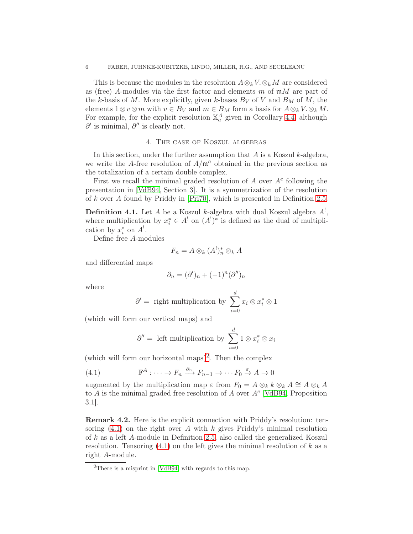This is because the modules in the resolution  $A \otimes_k V \otimes_k M$  are considered as (free) A-modules via the first factor and elements m of  $mM$  are part of the k-basis of M. More explicitly, given k-bases  $B_V$  of V and  $B_M$  of M, the elements  $1 \otimes v \otimes m$  with  $v \in B_V$  and  $m \in B_M$  form a basis for  $A \otimes_k V \otimes_k M$ . For example, for the explicit resolution  $\mathbb{X}_a^A$  given in Corollary [4.4,](#page-6-0) although  $\partial'$  is minimal,  $\partial''$  is clearly not.

# 4. The case of Koszul algebras

<span id="page-5-0"></span>In this section, under the further assumption that  $A$  is a Koszul  $k$ -algebra, we write the A-free resolution of  $A/\mathfrak{m}^a$  obtained in the previous section as the totalization of a certain double complex.

First we recall the minimal graded resolution of  $A$  over  $A<sup>e</sup>$  following the presentation in [\[VdB94,](#page-16-14) Section 3]. It is a symmetrization of the resolution of k over A found by Priddy in [\[Pri70\]](#page-16-0), which is presented in Definition [2.5.](#page-3-1)

<span id="page-5-1"></span>**Definition 4.1.** Let A be a Koszul k-algebra with dual Koszul algebra  $A^!$ , where multiplication by  $x_i^* \in A^!$  on  $(A^!)^*$  is defined as the dual of multiplication by  $x_i^*$  on  $A^!$ .

Define free A-modules

$$
F_n = A \otimes_k (A^!)_n^* \otimes_k A
$$

and differential maps

$$
\partial_n = (\partial')_n + (-1)^n (\partial'')_n
$$

where

$$
\partial' = \text{ right multiplication by } \sum_{i=0}^{d} x_i \otimes x_i^* \otimes 1
$$

(which will form our vertical maps) and

<span id="page-5-3"></span>
$$
\partial'' = \text{ left multiplication by } \sum_{i=0}^{d} 1 \otimes x_i^* \otimes x_i
$$

(which will form our horizontal maps)<sup>[2](#page-5-2)</sup>. Then the complex

(4.1) 
$$
\mathbb{F}^A : \cdots \to F_n \xrightarrow{\partial_n} F_{n-1} \to \cdots F_0 \xrightarrow{\varepsilon} A \to 0
$$

augmented by the multiplication map  $\varepsilon$  from  $F_0 = A \otimes_k k \otimes_k A \cong A \otimes_k A$ to A is the minimal graded free resolution of A over  $A<sup>e</sup>$  [\[VdB94,](#page-16-14) Proposition 3.1].

Remark 4.2. Here is the explicit connection with Priddy's resolution: tensoring  $(4.1)$  on the right over A with k gives Priddy's minimal resolution of k as a left A-module in Definition [2.5,](#page-3-1) also called the generalized Koszul resolution. Tensoring  $(4.1)$  on the left gives the minimal resolution of k as a right A-module.

<span id="page-5-2"></span><sup>&</sup>lt;sup>2</sup>There is a misprint in [\[VdB94\]](#page-16-14) with regards to this map.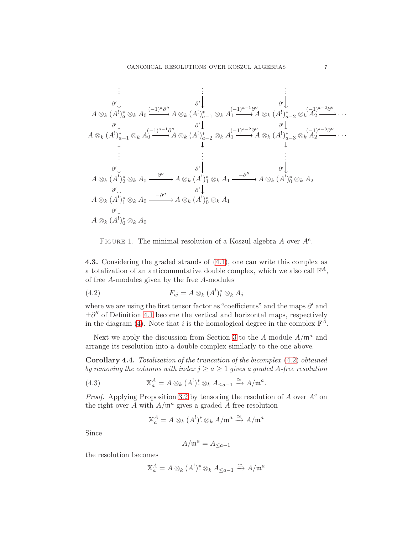$$
\begin{array}{cccc}\n\vdots & \vdots & \vdots & \vdots & \vdots \\
\frac{\partial'}{\partial} \downarrow & \frac{\partial'}{\partial} \downarrow & \frac{\partial'}{\partial} \downarrow & \frac{\partial'}{\partial} \downarrow \\
A \otimes_k (A^!)_a^* \otimes_k A_0 \xrightarrow{(-1)^a \partial''} A \otimes_k (A^!)_{a-1}^* \otimes_k A_1 \xrightarrow{(-1)^{a-1} \partial''} A \otimes_k (A^!)_{a-2}^* \otimes_k A_2 \xrightarrow{(-1)^{a-2} \partial''} \cdots \\
A \otimes_k (A^!)_{a-1}^* \otimes_k A_0 \xrightarrow{\partial'} A \otimes_k (A^!)_{a-2}^* \otimes_k A_1 \xrightarrow{\partial'} A \otimes_k (A^!)_{a-3}^* \otimes_k A_2 \xrightarrow{\partial'} \cdots \\
\vdots & \vdots & \vdots & \vdots \\
\frac{\partial'}{\partial} \downarrow & \frac{\partial'}{\partial} \downarrow & \frac{\partial'}{\partial} \downarrow & \frac{\partial'}{\partial} \downarrow \\
A \otimes_k (A^!)_2^* \otimes_k A_0 \xrightarrow{\partial''} A \otimes_k (A^!)_1^* \otimes_k A_1 \xrightarrow{-\partial''} A \otimes_k (A^!)_0^* \otimes_k A_2 \\
\frac{\partial'}{\partial} \downarrow & \frac{\partial'}{\partial} \downarrow & \frac{\partial'}{\partial} \downarrow \\
A \otimes_k (A^!)_1^* \otimes_k A_0 \xrightarrow{-\partial''} A \otimes_k (A^!)_0^* \otimes_k A_1 \\
\frac{\partial'}{\partial} \downarrow & \frac{\partial'}{\partial} \downarrow & \\
A \otimes_k (A^!)_0^* \otimes_k A_0\n\end{array}
$$

FIGURE 1. The minimal resolution of a Koszul algebra  $A$  over  $A^e$ .

4.3. Considering the graded strands of [\(4.1\)](#page-5-3), one can write this complex as a totalization of an anticommutative double complex, which we also call  $\mathbb{F}^A$ , of free A-modules given by the free A-modules

<span id="page-6-1"></span>(4.2) 
$$
F_{ij} = A \otimes_k (A^!)^*_i \otimes_k A_j
$$

where we are using the first tensor factor as "coefficients" and the maps  $\partial'$  and  $\pm \partial''$  of Definition [4.1](#page-5-1) become the vertical and horizontal maps, respectively in the diagram [\(4\)](#page-5-3). Note that i is the homological degree in the complex  $\mathbb{F}^{\tilde{A}}$ .

Next we apply the discussion from Section [3](#page-3-0) to the A-module  $A/\mathfrak{m}^a$  and arrange its resolution into a double complex similarly to the one above.

<span id="page-6-0"></span>Corollary 4.4. Totalization of the truncation of the bicomplex [\(4.2\)](#page-6-1) obtained by removing the columns with index  $j \ge a \ge 1$  gives a graded A-free resolution

(4.3) 
$$
\mathbb{X}_a^A = A \otimes_k (A^!)^* \otimes_k A_{\leq a-1} \xrightarrow{\simeq} A/\mathfrak{m}^a.
$$

*Proof.* Applying Proposition [3.2](#page-4-2) by tensoring the resolution of A over  $A^e$  on the right over A with  $A/\mathfrak{m}^a$  gives a graded A-free resolution

<span id="page-6-2"></span>
$$
\mathbb{X}_a^A = A \otimes_k (A^!)^* \otimes_k A/\mathfrak{m}^a \xrightarrow{\simeq} A/\mathfrak{m}^a
$$

Since

$$
A/\mathfrak{m}^a = A_{\leq a-1}
$$

the resolution becomes

$$
\mathbb{X}_a^A = A \otimes_k (A^!)^* \otimes_k A_{\leq a-1} \xrightarrow{\simeq} A/\mathfrak{m}^a
$$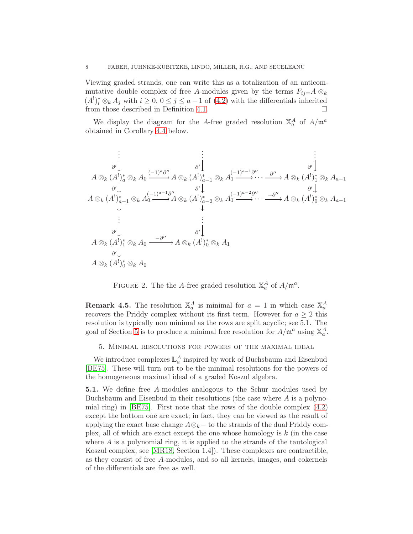Viewing graded strands, one can write this as a totalization of an anticommutative double complex of free A-modules given by the terms  $F_{ij}=A\otimes_k$  $(A<sup>1</sup>)<sub>i</sub><sup>*</sup> \otimes<sub>k</sub> A<sub>j</sub>$  with  $i \ge 0, 0 \le j \le a-1$  of [\(4.2\)](#page-6-1) with the differentials inherited from those described in Definition [4.1.](#page-5-1)

We display the diagram for the A-free graded resolution  $\mathbb{X}_a^A$  of  $A/\mathfrak{m}^a$ obtained in Corollary [4.4](#page-6-0) below.

. . . ∂ ′ . . . ∂ ′ . . . ∂ ′ <sup>A</sup> <sup>⊗</sup><sup>k</sup> (A! ) ∗ <sup>a</sup> ⊗<sup>k</sup> A<sup>0</sup> ∂ ′ (−1)a∂ ′′ /<sup>A</sup> <sup>⊗</sup><sup>k</sup> (A! ) ∗ <sup>a</sup>−<sup>1</sup> ⊗<sup>k</sup> A<sup>1</sup> ∂ ′ (−1)a−1∂ ′′ / · · · ∂ ′′ /<sup>A</sup> <sup>⊗</sup><sup>k</sup> (A! ) ∗ <sup>1</sup> ⊗<sup>k</sup> Aa−<sup>1</sup> ∂ ′ <sup>A</sup> <sup>⊗</sup><sup>k</sup> (A! ) ∗ <sup>a</sup>−<sup>1</sup> ⊗<sup>k</sup> A<sup>0</sup> (−1)a−1∂ ′′ /<sup>A</sup> <sup>⊗</sup><sup>k</sup> (A! ) ∗ <sup>a</sup>−<sup>2</sup> ⊗<sup>k</sup> A<sup>1</sup> (−1)a−2∂ ′′ / · · · −∂ ′′ /<sup>A</sup> <sup>⊗</sup><sup>k</sup> (A! ) ∗ <sup>0</sup> ⊗<sup>k</sup> Aa−<sup>1</sup> . . . ∂ ′ . . . ∂ ′ <sup>A</sup> <sup>⊗</sup><sup>k</sup> (A! ) ∗ <sup>1</sup> ⊗<sup>k</sup> A<sup>0</sup> −∂ ′′ / ∂ ′ <sup>A</sup> <sup>⊗</sup><sup>k</sup> (A! ) ∗ <sup>0</sup> ⊗<sup>k</sup> A<sup>1</sup> <sup>A</sup> <sup>⊗</sup><sup>k</sup> (A! ) ∗ <sup>0</sup> ⊗<sup>k</sup> A<sup>0</sup>

FIGURE 2. The the A-free graded resolution  $\mathbb{X}_a^A$  of  $A/\mathfrak{m}^a$ .

**Remark 4.5.** The resolution  $\mathbb{X}_a^A$  is minimal for  $a = 1$  in which case  $\mathbb{X}_a^A$ recovers the Priddy complex without its first term. However for  $a \geq 2$  this resolution is typically non minimal as the rows are split acyclic; see 5.1. The goal of Section [5](#page-7-0) is to produce a minimal free resolution for  $A/\mathfrak{m}^a$  using  $\mathbb{X}_a^A$ .

<span id="page-7-0"></span>5. Minimal resolutions for powers of the maximal ideal

We introduce complexes  $\mathbb{L}^A_a$  inspired by work of Buchsbaum and Eisenbud [\[BE75\]](#page-16-9). These will turn out to be the minimal resolutions for the powers of the homogeneous maximal ideal of a graded Koszul algebra.

<span id="page-7-1"></span>5.1. We define free A-modules analogous to the Schur modules used by Buchsbaum and Eisenbud in their resolutions (the case where  $A$  is a polynomial ring) in [\[BE75\]](#page-16-9). First note that the rows of the double complex [\(4.2\)](#page-6-1) except the bottom one are exact; in fact, they can be viewed as the result of applying the exact base change  $A \otimes_k -$  to the strands of the dual Priddy complex, all of which are exact except the one whose homology is  $k$  (in the case where  $A$  is a polynomial ring, it is applied to the strands of the tautological Koszul complex; see [\[MR18,](#page-16-15) Section 1.4]). These complexes are contractible, as they consist of free A-modules, and so all kernels, images, and cokernels of the differentials are free as well.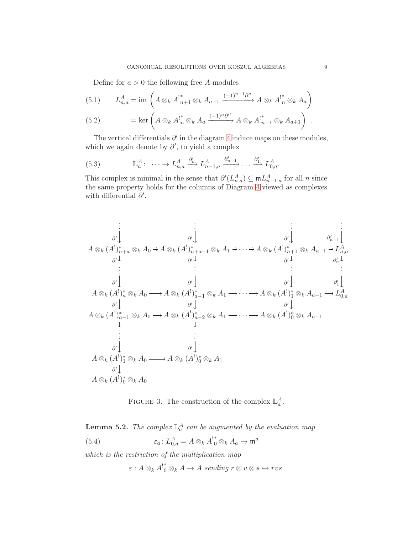Define for  $a > 0$  the following free A-modules

<span id="page-8-2"></span>(5.1) 
$$
L_{n,a}^A = \text{im}\left(A\otimes_k A_{n+1}^* \otimes_k A_{n-1} \xrightarrow{(-1)^{n+1}\partial''} A\otimes_k A_n^* \otimes_k A_a\right)
$$

(5.2) = ker 
$$
\left(A \otimes_k A^!_{n} \otimes_k A_a \xrightarrow{(-1)^n \partial''} A \otimes_k A^!_{n-1} \otimes_k A_{a+1}\right)
$$
.

The vertical differentials  $\partial'$  in the diagram [4](#page-6-2) induce maps on these modules, which we again denote by  $\partial'$ , to yield a complex

<span id="page-8-0"></span>(5.3) 
$$
\mathbb{L}_a^A: \ \cdots \to L_{n,a}^A \xrightarrow{\partial'_n} L_{n-1,a}^A \xrightarrow{\partial'_{n-1}} \cdots \xrightarrow{\partial'_1} L_{0,a}^A.
$$

This complex is minimal in the sense that  $\partial'(L_{n,a}^A) \subseteq {\frak m} L_{n-1,a}^A$  for all n since the same property holds for the columns of Diagram [4](#page-5-3) viewed as complexes with differential  $\partial'$ .

. . . ∂ ′ . . . ∂ ′ . . . ∂ ′ . . . ∂ ′ <sup>n</sup>+1 <sup>A</sup> <sup>⊗</sup><sup>k</sup> (A! ) ∗ <sup>n</sup>+<sup>a</sup> ⊗<sup>k</sup> A<sup>0</sup> ∂ ′ /<sup>A</sup> <sup>⊗</sup><sup>k</sup> (A! ) ∗ <sup>n</sup>+a−<sup>1</sup> ⊗<sup>k</sup> A<sup>1</sup> ∂ ′ · · · /<sup>A</sup> <sup>⊗</sup><sup>k</sup> (A! ) ∗ <sup>n</sup>+1 ⊗<sup>k</sup> Aa−<sup>1</sup> ∂ ′ /L A n,a ∂ ′ n . . . ∂ ′ . . . ∂ ′ . . . ∂ ′ . . . ∂ ′ 1 <sup>A</sup> <sup>⊗</sup><sup>k</sup> (A! ) ∗ <sup>a</sup> ⊗<sup>k</sup> A<sup>0</sup> ∂ ′ /<sup>A</sup> <sup>⊗</sup><sup>k</sup> (A! ) ∗ <sup>a</sup>−<sup>1</sup> ⊗<sup>k</sup> A<sup>1</sup> ∂ ′ · · · /<sup>A</sup> <sup>⊗</sup><sup>k</sup> (A! ) ∗ <sup>1</sup> ⊗<sup>k</sup> Aa−<sup>1</sup> ∂ ′ /L A 0,a <sup>A</sup> <sup>⊗</sup><sup>k</sup> (A! ) ∗ <sup>a</sup>−<sup>1</sup> ⊗<sup>k</sup> A<sup>0</sup> /<sup>A</sup> <sup>⊗</sup><sup>k</sup> (A! ) ∗ <sup>a</sup>−<sup>2</sup> ⊗<sup>k</sup> A<sup>1</sup> · · · /<sup>A</sup> <sup>⊗</sup><sup>k</sup> (A! ) ∗ <sup>0</sup> ⊗<sup>k</sup> Aa−<sup>1</sup> . . . ∂ ′ . . . ∂ ′ <sup>A</sup> <sup>⊗</sup><sup>k</sup> (A! ) ∗ <sup>1</sup> ⊗<sup>k</sup> A<sup>0</sup> / ∂ ′ <sup>A</sup> <sup>⊗</sup><sup>k</sup> (A! ) ∗ <sup>0</sup> ⊗<sup>k</sup> A<sup>1</sup> <sup>A</sup> <sup>⊗</sup><sup>k</sup> (A! ) ∗ <sup>0</sup> ⊗<sup>k</sup> A<sup>0</sup>

FIGURE 3. The construction of the complex  $\mathbb{L}_a^A$ .

**Lemma 5.2.** The complex  $\mathbb{L}_a^A$  can be augmented by the evaluation map (5.4)  $\varepsilon_a: L_{0,a}^A = A \otimes_k A_{0}^{k*} \otimes_k A_a \to \mathfrak{m}^a$ 

which is the restriction of the multiplication map

<span id="page-8-1"></span> $\varepsilon: A \otimes_k A^{\dagger^*}_{0} \otimes_k A \to A$  sending  $r \otimes v \otimes s \mapsto rvs.$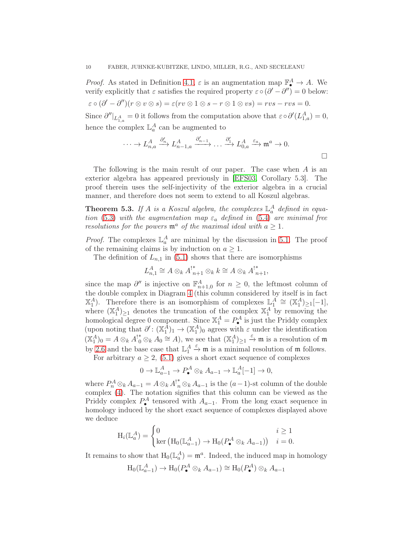*Proof.* As stated in Definition [4.1,](#page-5-1)  $\varepsilon$  is an augmentation map  $\mathbb{F}_4^A \to A$ . We verify explicitly that  $\varepsilon$  satisfies the required property  $\varepsilon \circ (\partial' - \partial'') = 0$  below:  $\varepsilon \circ (\partial' - \partial'')(r \otimes v \otimes s) = \varepsilon(rv \otimes 1 \otimes s - r \otimes 1 \otimes vs) = rvs - rvs = 0.$ Since  $\partial''|_{L^A_{1,a}} = 0$  it follows from the computation above that  $\varepsilon \circ \partial'(L^A_{1,a}) = 0$ , hence the complex  $\mathbb{L}^A_a$  can be augmented to

$$
\cdots \to L_{n,a}^A \xrightarrow{\partial'_n} L_{n-1,a}^A \xrightarrow{\partial'_{n-1}} \cdots \xrightarrow{\partial'_1} L_{0,a}^A \xrightarrow{\varepsilon_a} \mathfrak{m}^a \to 0.
$$

The following is the main result of our paper. The case when A is an exterior algebra has appeared previously in [\[EFS03,](#page-16-16) Corollary 5.3]. The proof therein uses the self-injectivity of the exterior algebra in a crucial manner, and therefore does not seem to extend to all Koszul algebras.

<span id="page-9-0"></span>**Theorem 5.3.** If A is a Koszul algebra, the complexes  $\mathbb{L}_a^A$  defined in equa-tion [\(5.3\)](#page-8-0) with the augmentation map  $\varepsilon_a$  defined in [\(5.4\)](#page-8-1) are minimal free resolutions for the powers  $\mathfrak{m}^a$  of the maximal ideal with  $a \geq 1$ .

*Proof.* The complexes  $\mathbb{L}_a^A$  are minimal by the discussion in [5.1.](#page-7-1) The proof of the remaining claims is by induction on  $a \geq 1$ .

The definition of  $L_{n,1}$  in [\(5.1\)](#page-8-2) shows that there are isomorphisms

$$
L_{n,1}^A \cong A \otimes_k A_{n+1}^* \otimes_k k \cong A \otimes_k A_{n+1}^*,
$$

since the map  $\partial''$  is injective on  $\mathbb{F}_{n+1,0}^A$  for  $n \geq 0$ , the leftmost column of the double complex in Diagram [4](#page-5-3) (this column considered by itself is in fact  $\mathbb{X}_{1}^{A}$ ). Therefore there is an isomorphism of complexes  $\mathbb{L}_{1}^{A} \cong (\mathbb{X}_{1}^{A})_{\geq 1}[-1],$ where  $(\mathbb{X}_1^A)_{\geq 1}$  denotes the truncation of the complex  $\mathbb{X}_1^A$  by removing the homological degree 0 component. Since  $\mathbb{X}_1^A = P_{\bullet}^A$  is just the Priddy complex (upon noting that  $\partial' : (\mathbb{X}_1^A)_1 \to (\mathbb{X}_1^A)_0$  agrees with  $\varepsilon$  under the identification  $(\mathbb{X}_1^A)_0 = A \otimes_k A_0^* \otimes_k A_0 \cong A$ , we see that  $(\mathbb{X}_1^A)_{\geq 1} \stackrel{\varepsilon}{\rightarrow} \mathfrak{m}$  is a resolution of  $\mathfrak{m}$ by [2.6](#page-3-2) and the base case that  $\mathbb{L}_1^A \xrightarrow{\varepsilon} \mathfrak{m}$  is a minimal resolution of  $\mathfrak{m}$  follows.

For arbitrary  $a \geq 2$ , [\(5.1\)](#page-8-2) gives a short exact sequence of complexes

$$
0 \to \mathbb{L}_{a-1}^A \to P_\bullet^A \otimes_k A_{a-1} \to \mathbb{L}_a^A[-1] \to 0,
$$

where  $P_n^A \otimes_k A_{a-1} = A \otimes_k A^{\dagger *}_{n} \otimes_k A_{a-1}$  is the  $(a-1)$ -st column of the double complex [\(4\)](#page-6-2). The notation signifies that this column can be viewed as the Priddy complex  $P_{\bullet}^A$  tensored with  $A_{a-1}$ . From the long exact sequence in homology induced by the short exact sequence of complexes displayed above we deduce

$$
H_i(\mathbb{L}_a^A) = \begin{cases} 0 & i \ge 1\\ \ker \left( H_0(\mathbb{L}_{a-1}^A) \to H_0(P_\bullet^A \otimes_k A_{a-1}) \right) & i = 0. \end{cases}
$$

It remains to show that  $H_0(\mathbb{L}_a^A) = \mathfrak{m}^a$ . Indeed, the induced map in homology

$$
H_0(\mathbb{L}_{a-1}^A) \to H_0(P_\bullet^A \otimes_k A_{a-1}) \cong H_0(P_\bullet^A) \otimes_k A_{a-1}
$$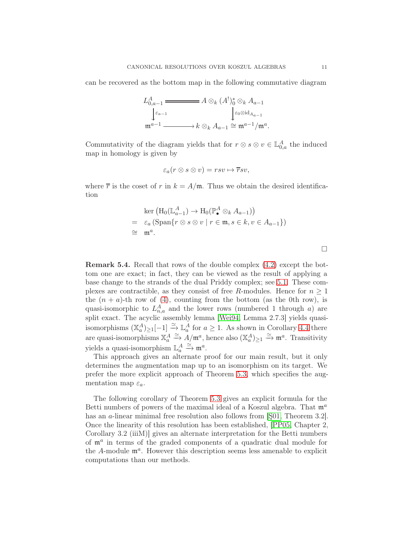can be recovered as the bottom map in the following commutative diagram

$$
L_{0,a-1}^{A} \xrightarrow{\varepsilon_{a-1}} A \otimes_k (A^!)_0^* \otimes_k A_{a-1}
$$
  

$$
\downarrow_{\varepsilon_{a-1}} \qquad \qquad \downarrow_{\varepsilon_0 \otimes \mathrm{id}_{A_{a-1}}}
$$
  

$$
\mathfrak{m}^{a-1} \xrightarrow{\varepsilon_{a-1}} k \otimes_k A_{a-1} \cong \mathfrak{m}^{a-1}/\mathfrak{m}^a.
$$

Commutativity of the diagram yields that for  $r \otimes s \otimes v \in \mathbb{L}_{0,a}^A$  the induced map in homology is given by

$$
\varepsilon_a(r\otimes s\otimes v)=rsv\mapsto \overline{r}sv,
$$

where  $\bar{r}$  is the coset of r in  $k = A/\mathfrak{m}$ . Thus we obtain the desired identification

$$
\ker (\mathrm{H}_0(\mathbb{L}_{a-1}^A) \to \mathrm{H}_0(\mathbb{P}_{\bullet}^A \otimes_k A_{a-1}))
$$
  
=  $\varepsilon_a (\mathrm{Span}\{r \otimes s \otimes v \mid r \in \mathfrak{m}, s \in k, v \in A_{a-1}\})$   
 $\cong \mathfrak{m}^a$ .

 $\Box$ 

<span id="page-10-0"></span>Remark 5.4. Recall that rows of the double complex [\(4.2\)](#page-6-1) except the bottom one are exact; in fact, they can be viewed as the result of applying a base change to the strands of the dual Priddy complex; see [5.1.](#page-7-1) These complexes are contractible, as they consist of free R-modules. Hence for  $n \geq 1$ the  $(n + a)$ -th row of [\(4\)](#page-6-2), counting from the bottom (as the 0th row), is quasi-isomorphic to  $L_{n,a}^A$  and the lower rows (numbered 1 through a) are split exact. The acyclic assembly lemma [\[Wei94,](#page-17-0) Lemma 2.7.3] yields quasiisomorphisms  $(\mathbb{X}_{a}^{A})_{\geq 1}[-1] \stackrel{\simeq}{\to} \mathbb{L}_{a}^{A}$  for  $a \geq 1$ . As shown in Corollary [4.4](#page-6-0) there are quasi-isomorphisms  $\mathbb{X}_a^A \xrightarrow{\simeq} A/\mathfrak{m}^a$ , hence also  $(\mathbb{X}_a^A)_{\geq 1} \xrightarrow{\simeq} \mathfrak{m}^a$ . Transitivity yields a quasi-isomorphism  $\mathbb{L}_a^A \xrightarrow{\simeq} \mathfrak{m}^a$ .

This approach gives an alternate proof for our main result, but it only determines the augmentation map up to an isomorphism on its target. We prefer the more explicit approach of Theorem [5.3,](#page-9-0) which specifies the augmentation map  $\varepsilon_a$ .

The following corollary of Theorem [5.3](#page-9-0) gives an explicit formula for the Betti numbers of powers of the maximal ideal of a Koszul algebra. That  $\mathfrak{m}^a$ has an *a*-linear minimal free resolution also follows from [\[Ş01,](#page-16-17) Theorem 3.2]. Once the linearity of this resolution has been established, [\[PP05,](#page-16-8) Chapter 2, Corollary 3.2 (iiiM)] gives an alternate interpretation for the Betti numbers of  $\mathfrak{m}^a$  in terms of the graded components of a quadratic dual module for the  $A$ -module  $\mathfrak{m}^a$ . However this description seems less amenable to explicit computations than our methods.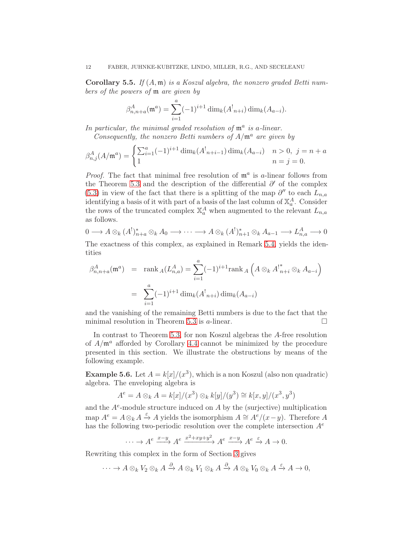<span id="page-11-0"></span>**Corollary 5.5.** If  $(A, \mathfrak{m})$  is a Koszul algebra, the nonzero graded Betti numbers of the powers of m are given by

$$
\beta_{n,n+a}^A(\mathfrak{m}^a) = \sum_{i=1}^a (-1)^{i+1} \dim_k(A_{n+i}^!) \dim_k(A_{a-i}).
$$

In particular, the minimal graded resolution of  $\mathfrak{m}^a$  is a-linear.

Consequently, the nonzero Betti numbers of  $A/\mathfrak{m}^a$  are given by

$$
\beta_{n,j}^A(A/\mathfrak{m}^a) = \begin{cases} \sum_{i=1}^a (-1)^{i+1} \dim_k(A_{n+i-1}) \dim_k(A_{a-i}) & n > 0, \ j = n+a \\ 1 & n = j = 0. \end{cases}
$$

*Proof.* The fact that minimal free resolution of  $\mathfrak{m}^a$  is a-linear follows from the Theorem [5.3](#page-9-0) and the description of the differential  $\partial'$  of the complex [\(5.3\)](#page-8-0) in view of the fact that there is a splitting of the map  $\partial''$  to each  $L_{n,a}$ identifying a basis of it with part of a basis of the last column of  $\mathbb{X}_a^A$ . Consider the rows of the truncated complex  $\mathbb{X}_a^A$  when augmented to the relevant  $L_{n,a}$ as follows.

$$
0 \longrightarrow A \otimes_k (A^!)_{n+a}^* \otimes_k A_0 \longrightarrow \cdots \longrightarrow A \otimes_k (A^!)_{n+1}^* \otimes_k A_{a-1} \longrightarrow L_{n,a}^A \longrightarrow 0
$$

The exactness of this complex, as explained in Remark [5.4,](#page-10-0) yields the identities

$$
\beta_{n,n+a}^A(\mathfrak{m}^a) = \text{rank}_A(L_{n,a}^A) = \sum_{i=1}^a (-1)^{i+1} \text{rank}_A \left( A \otimes_k A_{n+i}^* \otimes_k A_{a-i} \right)
$$

$$
= \sum_{i=1}^a (-1)^{i+1} \dim_k(A_{n+i}^1) \dim_k(A_{a-i})
$$

and the vanishing of the remaining Betti numbers is due to the fact that the minimal resolution in Theorem [5.3](#page-9-0) is  $a$ -linear.

In contrast to Theorem [5.3,](#page-9-0) for non Koszul algebras the A-free resolution of  $A/\mathfrak{m}^a$  afforded by Corollary [4.4](#page-6-0) cannot be minimized by the procedure presented in this section. We illustrate the obstructions by means of the following example.

**Example 5.6.** Let  $A = k[x]/(x^3)$ , which is a non Koszul (also non quadratic) algebra. The enveloping algebra is

$$
A^{e} = A \otimes_{k} A = k[x]/(x^{3}) \otimes_{k} k[y]/(y^{3}) \cong k[x, y]/(x^{3}, y^{3})
$$

and the  $A^e$ -module structure induced on  $A$  by the (surjective) multiplication map  $A^e = A \otimes_k A \stackrel{\varepsilon}{\to} A$  yields the isomorphism  $A \cong A^e/(x-y)$ . Therefore A has the following two-periodic resolution over the complete intersection  $A^e$ 

$$
\cdots \to A^e \xrightarrow{x-y} A^e \xrightarrow{x^2+xy+y^2} A^e \xrightarrow{x-y} A^e \xrightarrow{\varepsilon} A \to 0.
$$

Rewriting this complex in the form of Section [3](#page-3-0) gives

$$
\cdots \to A \otimes_k V_2 \otimes_k A \xrightarrow{\partial} A \otimes_k V_1 \otimes_k A \xrightarrow{\partial} A \otimes_k V_0 \otimes_k A \xrightarrow{\varepsilon} A \to 0,
$$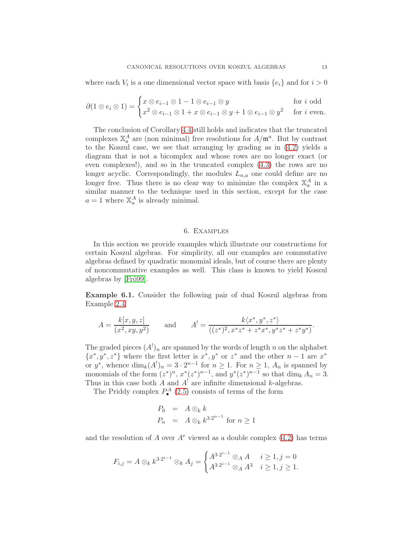where each  $V_i$  is a one dimensional vector space with basis  $\{e_i\}$  and for  $i > 0$ 

$$
\partial(1 \otimes e_i \otimes 1) = \begin{cases} x \otimes e_{i-1} \otimes 1 - 1 \otimes e_{i-1} \otimes y & \text{for } i \text{ odd} \\ x^2 \otimes e_{i-1} \otimes 1 + x \otimes e_{i-1} \otimes y + 1 \otimes e_{i-1} \otimes y^2 & \text{for } i \text{ even.} \end{cases}
$$

The conclusion of Corollary [4.4](#page-6-0) still holds and indicates that the truncated complexes  $\mathbb{X}_a^A$  are (non minimal) free resolutions for  $A/\mathfrak{m}^a$ . But by contrast to the Koszul case, we see that arranging by grading as in [\(4.2\)](#page-6-1) yields a diagram that is not a bicomplex and whose rows are no longer exact (or even complexes!), and so in the truncated complex [\(4.3\)](#page-6-2) the rows are no longer acyclic. Correspondingly, the modules  $L_{n,a}$  one could define are no longer free. Thus there is no clear way to minimize the complex  $\mathbb{X}_a^A$  in a similar manner to the technique used in this section, except for the case  $a = 1$  where  $\mathbb{X}_a^A$  is already minimal.

#### 6. Examples

<span id="page-12-0"></span>In this section we provide examples which illustrate our constructions for certain Koszul algebras. For simplicity, all our examples are commutative algebras defined by quadratic monomial ideals, but of course there are plenty of noncommutative examples as well. This class is known to yield Koszul algebras by [\[Frö99\]](#page-16-4).

<span id="page-12-1"></span>Example 6.1. Consider the following pair of dual Koszul algebras from Example [2.4](#page-3-3)

$$
A = \frac{k[x, y, z]}{(x^2, xy, y^2)} \quad \text{and} \quad A^! = \frac{k\langle x^*, y^*, z^* \rangle}{((z^*)^2, x^*z^* + z^*x^*, y^*z^* + z^*y^*)}.
$$

The graded pieces  $(A^!)_n$  are spanned by the words of length n on the alphabet  $\{x^*, y^*, z^*\}$  where the first letter is  $x^*, y^*$  or  $z^*$  and the other  $n-1$  are  $x^*$ or  $y^*$ , whence  $\dim_k(A^!)_n = 3 \cdot 2^{n-1}$  for  $n \ge 1$ . For  $n \ge 1$ ,  $A_n$  is spanned by monomials of the form  $(z^*)^n$ ,  $x^*(z^*)^{n-1}$ , and  $y^*(z^*)^{n-1}$  so that  $\dim_k A_n = 3$ . Thus in this case both A and  $A<sup>!</sup>$  are infinite dimensional k-algebras.

The Priddy complex  $P_{\bullet}^{A}$  [\(2.5\)](#page-3-1) consists of terms of the form

$$
P_0 = A \otimes_k k
$$
  
\n
$$
P_n = A \otimes_k k^{3 \cdot 2^{n-1}} \text{ for } n \ge 1
$$

and the resolution of A over  $A^e$  viewed as a double complex [\(4.2\)](#page-6-1) has terms

$$
F_{i,j} = A \otimes_k k^{3 \cdot 2^{i-1}} \otimes_k A_j = \begin{cases} A^{3 \cdot 2^{i-1}} \otimes_A A & i \geq 1, j = 0 \\ A^{3 \cdot 2^{i-1}} \otimes_A A^3 & i \geq 1, j \geq 1. \end{cases}
$$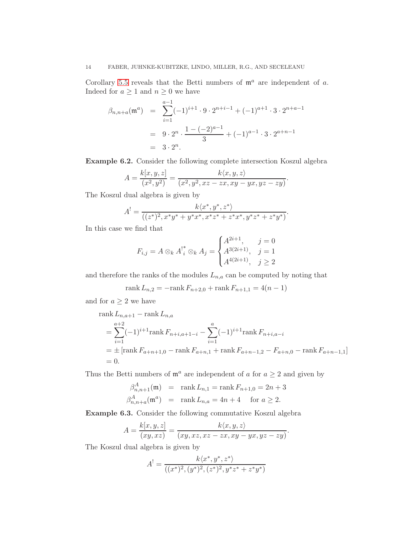# 14 FABER, JUHNKE-KUBITZKE, LINDO, MILLER, R.G., AND SECELEANU

Corollary [5.5](#page-11-0) reveals that the Betti numbers of  $\mathfrak{m}^a$  are independent of a. Indeed for  $a \ge 1$  and  $n \ge 0$  we have

$$
\beta_{n,n+a}(\mathfrak{m}^a) = \sum_{i=1}^{a-1} (-1)^{i+1} \cdot 9 \cdot 2^{n+i-1} + (-1)^{a+1} \cdot 3 \cdot 2^{n+a-1}
$$
  
= 9 \cdot 2^n \cdot \frac{1 - (-2)^{a-1}}{3} + (-1)^{a-1} \cdot 3 \cdot 2^{a+n-1}  
= 3 \cdot 2^n.

Example 6.2. Consider the following complete intersection Koszul algebra

$$
A = \frac{k[x, y, z]}{(x^2, y^2)} = \frac{k\langle x, y, z \rangle}{(x^2, y^2, xz - zx, xy - yx, yz - zy)}
$$

.

The Koszul dual algebra is given by

$$
A^{!} = \frac{k\langle x^*, y^*, z^*\rangle}{((z^*)^2, x^*y^* + y^*x^*, x^*z^* + z^*x^*, y^*z^* + z^*y^*)}.
$$

In this case we find that

$$
F_{i,j} = A \otimes_k A_i^{\dagger} \otimes_k A_j = \begin{cases} A^{2i+1}, & j = 0\\ A^{3(2i+1)}, & j = 1\\ A^{4(2i+1)}, & j \ge 2 \end{cases}
$$

and therefore the ranks of the modules  $L_{n,a}$  can be computed by noting that

rank 
$$
L_{n,2} = -\text{rank } F_{n+2,0} + \text{rank } F_{n+1,1} = 4(n-1)
$$

and for  $a\geq 2$  we have

rank 
$$
L_{n,a+1}
$$
 – rank  $L_{n,a}$   
\n
$$
= \sum_{i=1}^{a+2} (-1)^{i+1} \text{rank } F_{n+i,a+1-i} - \sum_{i=1}^{a} (-1)^{i+1} \text{rank } F_{n+i,a-i}
$$
\n
$$
= \pm [\text{rank } F_{a+n+1,0} - \text{rank } F_{a+n,1} + \text{rank } F_{a+n-1,2} - F_{a+n,0} - \text{rank } F_{a+n-1,1}]
$$
\n= 0.

Thus the Betti numbers of  $\mathfrak{m}^a$  are independent of a for  $a \geq 2$  and given by

$$
\beta_{n,n+1}^{A}(\mathfrak{m}) = \text{rank } L_{n,1} = \text{rank } F_{n+1,0} = 2n + 3
$$
  

$$
\beta_{n,n+a}^{A}(\mathfrak{m}^{a}) = \text{rank } L_{n,a} = 4n + 4 \text{ for } a \ge 2.
$$

Example 6.3. Consider the following commutative Koszul algebra

$$
A = \frac{k[x, y, z]}{(xy, xz)} = \frac{k\langle x, y, z\rangle}{(xy, xz, xz - zx, xy - yx, yz - zy)}.
$$

The Koszul dual algebra is given by

$$
A^{!} = \frac{k\langle x^*, y^*, z^*\rangle}{((x^*)^2, (y^*)^2, (z^*)^2, y^*z^* + z^*y^*)}
$$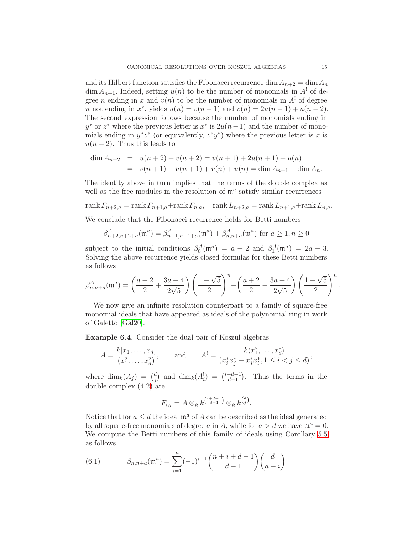and its Hilbert function satisfies the Fibonacci recurrence dim  $A_{n+2} = \dim A_n +$  $\dim A_{n+1}$ . Indeed, setting  $u(n)$  to be the number of monomials in  $A<sup>!</sup>$  of degree *n* ending in x and  $v(n)$  to be the number of monomials in  $A^!$  of degree *n* not ending in  $x^*$ , yields  $u(n) = v(n-1)$  and  $v(n) = 2u(n-1) + u(n-2)$ . The second expression follows because the number of monomials ending in  $y^*$  or  $z^*$  where the previous letter is  $x^*$  is  $2u(n-1)$  and the number of monomials ending in  $y^*z^*$  (or equivalently,  $z^*y^*$ ) where the previous letter is x is  $u(n-2)$ . Thus this leads to

$$
\dim A_{n+2} = u(n+2) + v(n+2) = v(n+1) + 2u(n+1) + u(n)
$$
  
=  $v(n+1) + u(n+1) + v(n) + u(n) = \dim A_{n+1} + \dim A_n.$ 

The identity above in turn implies that the terms of the double complex as well as the free modules in the resolution of  $\mathfrak{m}^a$  satisfy similar recurrences

rank  $F_{n+2,a} = \text{rank } F_{n+1,a} + \text{rank } F_{n,a}$ , rank  $L_{n+2,a} = \text{rank } L_{n+1,a} + \text{rank } L_{n,a}$ .

We conclude that the Fibonacci recurrence holds for Betti numbers

$$
\beta_{n+2,n+2+a}^{A}(\mathfrak{m}^{a}) = \beta_{n+1,n+1+a}^{A}(\mathfrak{m}^{a}) + \beta_{n,n+a}^{A}(\mathfrak{m}^{a}) \text{ for } a \ge 1, n \ge 0
$$

subject to the initial conditions  $\beta_0^A(\mathfrak{m}^a) = a + 2$  and  $\beta_1^A(\mathfrak{m}^a) = 2a + 3$ . Solving the above recurrence yields closed formulas for these Betti numbers as follows

$$
\beta_{n,n+a}^A(\mathfrak{m}^a) = \left(\frac{a+2}{2} + \frac{3a+4}{2\sqrt{5}}\right) \left(\frac{1+\sqrt{5}}{2}\right)^n + \left(\frac{a+2}{2} - \frac{3a+4}{2\sqrt{5}}\right) \left(\frac{1-\sqrt{5}}{2}\right)^n.
$$

We now give an infinite resolution counterpart to a family of square-free monomial ideals that have appeared as ideals of the polynomial ring in work of Galetto [\[Gal20\]](#page-16-18).

Example 6.4. Consider the dual pair of Koszul algebras

$$
A = \frac{k[x_1, \dots, x_d]}{(x_1^2, \dots, x_d^2)}, \quad \text{and} \quad A^! = \frac{k\langle x_1^*, \dots, x_d^* \rangle}{(x_i^* x_j^* + x_j^* x_i^*, 1 \le i < j \le d)},
$$

where  $\dim_k(A_j) = {d \choose i}$  $j^{(d)}$  and  $\dim_k(A_i^!) = \binom{i+d-1}{d-1}$  $\binom{+d-1}{d-1}$ . Thus the terms in the double complex [\(4.2\)](#page-6-1) are

$$
F_{i,j} = A \otimes_k k^{\binom{i+d-1}{d-1}} \otimes_k k^{\binom{d}{j}}.
$$

Notice that for  $a \leq d$  the ideal  $\mathfrak{m}^a$  of A can be described as the ideal generated by all square-free monomials of degree a in A, while for  $a > d$  we have  $\mathfrak{m}^a = 0$ . We compute the Betti numbers of this family of ideals using Corollary [5.5](#page-11-0) as follows

<span id="page-14-0"></span>(6.1) 
$$
\beta_{n,n+a}(\mathfrak{m}^a) = \sum_{i=1}^a (-1)^{i+1} \binom{n+i+d-1}{d-1} \binom{d}{a-i}
$$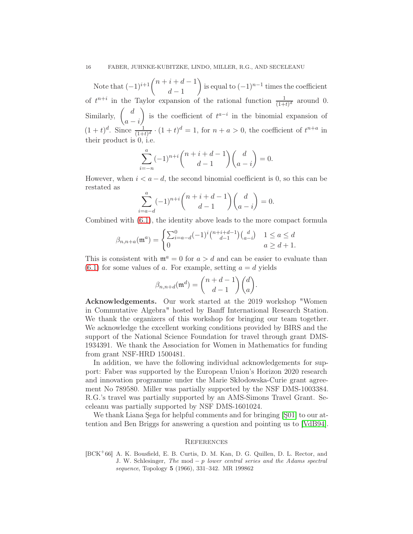Note that  $(-1)^{i+1} \binom{n+i+d-1}{d-1}$  $d-1$ ) is equal to  $(-1)^{n-1}$  times the coefficient of  $t^{n+i}$  in the Taylor expansion of the rational function  $\frac{1}{(1+t)^d}$  around 0. Similarly,  $\begin{pmatrix} d \end{pmatrix}$  $a - i$ is the coefficient of  $t^{a-i}$  in the binomial expansion of  $(1+t)^d$ . Since  $\frac{1}{(1+t)^d} \cdot (1+t)^d = 1$ , for  $n + a > 0$ , the coefficient of  $t^{n+a}$  in their product is 0, i.e.

$$
\sum_{i=-n}^{a} (-1)^{n+i} \binom{n+i+d-1}{d-1} \binom{d}{a-i} = 0.
$$

However, when  $i < a-d$ , the second binomial coefficient is 0, so this can be restated as

$$
\sum_{i=a-d}^{a} (-1)^{n+i} \binom{n+i+d-1}{d-1} \binom{d}{a-i} = 0.
$$

Combined with [\(6.1\)](#page-14-0), the identity above leads to the more compact formula

$$
\beta_{n,n+a}(\mathfrak{m}^a) = \begin{cases} \sum_{i=a-d}^0 (-1)^i \binom{n+i+d-1}{d-1} \binom{d}{a-i} & 1 \le a \le d \\ 0 & a \ge d+1. \end{cases}
$$

This is consistent with  $\mathfrak{m}^a = 0$  for  $a > d$  and can be easier to evaluate than  $(6.1)$  for some values of a. For example, setting  $a = d$  yields

$$
\beta_{n,n+d}(\mathfrak{m}^d) = \binom{n+d-1}{d-1}\binom{d}{a}.
$$

Acknowledgements. Our work started at the 2019 workshop "Women in Commutative Algebra" hosted by Banff International Research Station. We thank the organizers of this workshop for bringing our team together. We acknowledge the excellent working conditions provided by BIRS and the support of the National Science Foundation for travel through grant DMS-1934391. We thank the Association for Women in Mathematics for funding from grant NSF-HRD 1500481.

In addition, we have the following individual acknowledgements for support: Faber was supported by the European Union's Horizon 2020 research and innovation programme under the Marie Skłodowska-Curie grant agreement No 789580. Miller was partially supported by the NSF DMS-1003384. R.G.'s travel was partially supported by an AMS-Simons Travel Grant. Seceleanu was partially supported by NSF DMS-1601024.

We thank Liana Şega for helpful comments and for bringing [\[Ş01\]](#page-16-17) to our attention and Ben Briggs for answering a question and pointing us to [\[VdB94\]](#page-16-14).

## <span id="page-15-0"></span>**REFERENCES**

<span id="page-15-1"></span>[BCK<sup>+</sup>66] A. K. Bousfield, E. B. Curtis, D. M. Kan, D. G. Quillen, D. L. Rector, and J. W. Schlesinger, The mod  $-p$  lower central series and the Adams spectral sequence, Topology 5 (1966), 331–342. MR 199862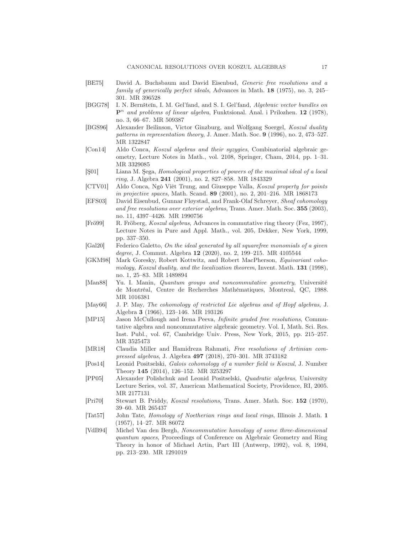- <span id="page-16-9"></span>[BE75] David A. Buchsbaum and David Eisenbud, Generic free resolutions and a family of generically perfect ideals, Advances in Math. 18 (1975), no. 3, 245– 301. MR 396528
- <span id="page-16-5"></span>[BGG78] I. N. Bernšteĭn, I. M. Gel'fand, and S. I. Gel'fand, Algebraic vector bundles on  $\mathbf{P}^n$  and problems of linear algebra, Funktsional. Anal. i Prilozhen. 12 (1978), no. 3, 66–67. MR 509387
- <span id="page-16-3"></span>[BGS96] Alexander Beilinson, Victor Ginzburg, and Wolfgang Soergel, Koszul duality patterns in representation theory, J. Amer. Math. Soc. 9 (1996), no. 2, 473–527. MR 1322847
- <span id="page-16-12"></span>[Con14] Aldo Conca, Koszul algebras and their syzygies, Combinatorial algebraic geometry, Lecture Notes in Math., vol. 2108, Springer, Cham, 2014, pp. 1–31. MR 3329085
- <span id="page-16-17"></span>[Ş01] Liana M. Şega, Homological properties of powers of the maximal ideal of a local ring, J. Algebra 241 (2001), no. 2, 827–858. MR 1843329
- <span id="page-16-11"></span>[CTV01] Aldo Conca, Ngô Viêt Trung, and Giuseppe Valla, Koszul property for points in projective spaces, Math. Scand. 89 (2001), no. 2, 201–216. MR 1868173
- <span id="page-16-16"></span>[EFS03] David Eisenbud, Gunnar Fløystad, and Frank-Olaf Schreyer, Sheaf cohomology and free resolutions over exterior algebras, Trans. Amer. Math. Soc. 355 (2003), no. 11, 4397–4426. MR 1990756
- <span id="page-16-4"></span>[Frö99] R. Fröberg, Koszul algebras, Advances in commutative ring theory (Fez, 1997), Lecture Notes in Pure and Appl. Math., vol. 205, Dekker, New York, 1999, pp. 337–350.
- <span id="page-16-18"></span>[Gal20] Federico Galetto, On the ideal generated by all squarefree monomials of a given degree, J. Commut. Algebra 12 (2020), no. 2, 199–215. MR 4105544
- <span id="page-16-2"></span>[GKM98] Mark Goresky, Robert Kottwitz, and Robert MacPherson, Equivariant cohomology, Koszul duality, and the localization theorem, Invent. Math. 131 (1998), no. 1, 25–83. MR 1489894
- <span id="page-16-6"></span>[Man88] Yu. I. Manin, Quantum groups and noncommutative geometry, Université de Montréal, Centre de Recherches Mathématiques, Montreal, QC, 1988. MR 1016381
- <span id="page-16-1"></span>[May66] J. P. May, The cohomology of restricted Lie algebras and of Hopf algebras, J. Algebra 3 (1966), 123–146. MR 193126
- <span id="page-16-13"></span>[MP15] Jason McCullough and Irena Peeva, *Infinite graded free resolutions*, Commutative algebra and noncommutative algebraic geometry. Vol. I, Math. Sci. Res. Inst. Publ., vol. 67, Cambridge Univ. Press, New York, 2015, pp. 215–257. MR 3525473
- <span id="page-16-15"></span>[MR18] Claudia Miller and Hamidreza Rahmati, Free resolutions of Artinian compressed algebras, J. Algebra 497 (2018), 270–301. MR 3743182
- <span id="page-16-7"></span>[Pos14] Leonid Positselski, Galois cohomology of a number field is Koszul, J. Number Theory 145 (2014), 126–152. MR 3253297
- <span id="page-16-8"></span>[PP05] Alexander Polishchuk and Leonid Positselski, Quadratic algebras, University Lecture Series, vol. 37, American Mathematical Society, Providence, RI, 2005. MR 2177131
- <span id="page-16-0"></span>[Pri70] Stewart B. Priddy, Koszul resolutions, Trans. Amer. Math. Soc. 152 (1970), 39–60. MR 265437
- <span id="page-16-10"></span>[Tat57] John Tate, Homology of Noetherian rings and local rings, Illinois J. Math. 1 (1957), 14–27. MR 86072
- <span id="page-16-14"></span>[VdB94] Michel Van den Bergh, Noncommutative homology of some three-dimensional quantum spaces, Proceedings of Conference on Algebraic Geometry and Ring Theory in honor of Michael Artin, Part III (Antwerp, 1992), vol. 8, 1994, pp. 213–230. MR 1291019